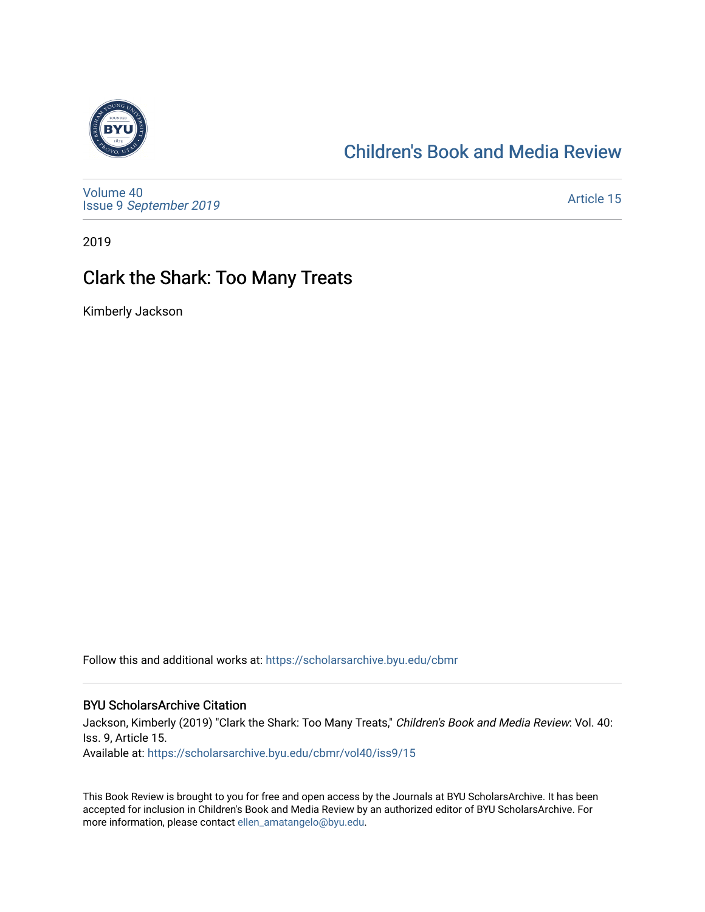

# [Children's Book and Media Review](https://scholarsarchive.byu.edu/cbmr)

[Volume 40](https://scholarsarchive.byu.edu/cbmr/vol40) Issue 9 [September 2019](https://scholarsarchive.byu.edu/cbmr/vol40/iss9) 

[Article 15](https://scholarsarchive.byu.edu/cbmr/vol40/iss9/15) 

2019

# Clark the Shark: Too Many Treats

Kimberly Jackson

Follow this and additional works at: [https://scholarsarchive.byu.edu/cbmr](https://scholarsarchive.byu.edu/cbmr?utm_source=scholarsarchive.byu.edu%2Fcbmr%2Fvol40%2Fiss9%2F15&utm_medium=PDF&utm_campaign=PDFCoverPages) 

#### BYU ScholarsArchive Citation

Jackson, Kimberly (2019) "Clark the Shark: Too Many Treats," Children's Book and Media Review: Vol. 40: Iss. 9, Article 15.

Available at: [https://scholarsarchive.byu.edu/cbmr/vol40/iss9/15](https://scholarsarchive.byu.edu/cbmr/vol40/iss9/15?utm_source=scholarsarchive.byu.edu%2Fcbmr%2Fvol40%2Fiss9%2F15&utm_medium=PDF&utm_campaign=PDFCoverPages)

This Book Review is brought to you for free and open access by the Journals at BYU ScholarsArchive. It has been accepted for inclusion in Children's Book and Media Review by an authorized editor of BYU ScholarsArchive. For more information, please contact [ellen\\_amatangelo@byu.edu.](mailto:ellen_amatangelo@byu.edu)